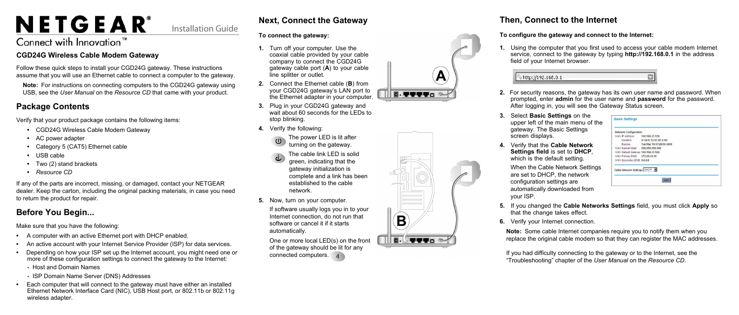# NETGEAR®

Installation Guide

# Connect with Innovation<sup>"</sup>

#### **CGD24G Wireless Cable Modem Gateway**

Follow these quick steps to install your CGD24G gateway. These instructions assume that you will use an Ethernet cable to connect a computer to the gateway.

**Note:** For instructions on connecting computers to the CGD24G gateway using USB, see the *User Manual* on the *Resource CD* that came with your product.

# **Package Contents**

Verify that your product package contains the following items:

- CGD24G Wireless Cable Modem Gateway
- AC power adapter
- Category 5 (CAT5) Ethernet cable
- USB cable
- Two (2) stand brackets
- *Resource CD*

If any of the parts are incorrect, missing, or damaged, contact your NETGEAR dealer. Keep the carton, including the original packing materials, in case you need to return the product for repair.

# **Before You Begin...**

Make sure that you have the following:

One or more local LED(s) on the front of the gateway should be lit for any connected computers. 4

- A computer with an active Ethernet port with DHCP enabled.
- An active account with your Internet Service Provider (ISP) for data services.
- Depending on how your ISP set up the Internet account, you might need one or more of these configuration settings to connect the gateway to the Internet:
	- Host and Domain Names
	- ISP Domain Name Server (DNS) Addresses
- Each computer that will connect to the gateway must have either an installed Ethernet Network Interface Card (NIC), USB Host port, or 802.11b or 802.11g wireless adapter.

# **Next, Connect the Gateway**

#### **To connect the gateway:**

- **1.** Turn off your computer. Use the coaxial cable provided by your cable company to connect the CGD24G gateway cable port (**A**) to your cable line splitter or outlet.
- **2.** Connect the Ethernet cable (**B**) from your CGD24G gateway's LAN port to the Ethernet adapter in your computer.
- **3.** Plug in your CGD24G gateway and wait about 60 seconds for the LEDs to stop blinking.
- **4.** Verify the following:



- The cable link LED is solid green, indicating that the gateway initialization is
- complete and a link has been established to the cable network.
- **5.** Now, turn on your computer.
	- If software usually logs you in to your Internet connection, do not run that software or cancel it if it starts automatically.





### **Then, Connect to the Internet**

#### **To configure the gateway and connect to the Internet:**

#### http://192

**1.** Using the computer that you first used to access your cable modem Internet service, connect to the gateway by typing **http://192.168.0.1** in the address field of your Internet browser.

| 2.168.0.1 |  |
|-----------|--|
|-----------|--|

**2.** For security reasons, the gateway has its own user name and password. When prompted, enter **admin** for the user name and **password** for the password. After logging in, you will see the Gateway Status screen.

upper left of the main menu of the gateway. The Basic Settings

**4.** Verify that the **Cable Network Settings field** is set to **DHCP**, which is the default setting.

- 
- **3.** Select **Basic Settings** on the screen displays.
- - configuration settings are your ISP.
- 
- 

When the Cable Network Settings are set to DHCP, the network automatically downloaded from

| <b>Network Configuration</b>       |                                  |  |
|------------------------------------|----------------------------------|--|
| WAN IP Address 192.168.21.139      |                                  |  |
|                                    | Duration D: 00 H: 12 M: 00 S: 00 |  |
|                                    | Expires Tue May 19 01:28:56 2009 |  |
| WAN Subnet Mask 255,255,255.128    |                                  |  |
| WAN Default Gateway 192.168.21.129 |                                  |  |
| WAN Primary DNS 172.29.16.10       |                                  |  |
| WAN Secondary DNS 0.0.0.0          |                                  |  |
| Cable Network Settings DHCP        | App                              |  |

**5.** If you changed the **Cable Networks Settings** field, you must click **Apply** so that the change takes effect.

**6.** Verify your Internet connection.

**Note:** Some cable Internet companies require you to notify them when you replace the original cable modem so that they can register the MAC addresses.

If you had difficulty connecting to the gateway or to the Internet, see the "Troubleshooting" chapter of the *User Manual* on the *Resource CD*.